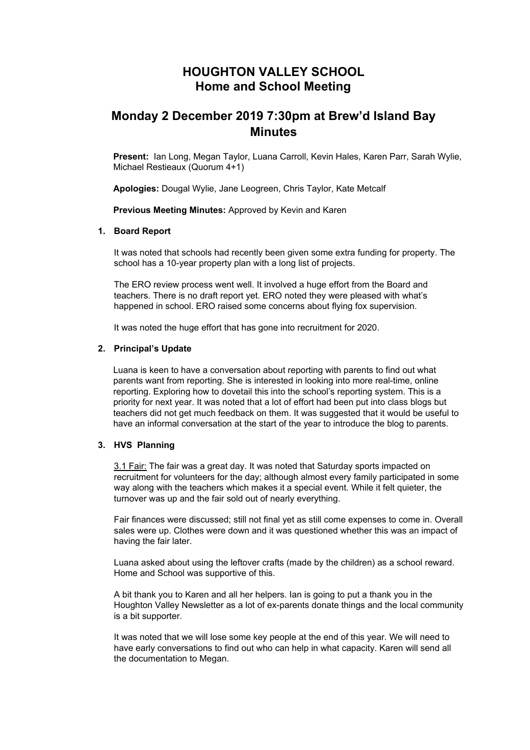## **HOUGHTON VALLEY SCHOOL Home and School Meeting**

# **Monday 2 December 2019 7:30pm at Brew'd Island Bay Minutes**

**Present:** Ian Long, Megan Taylor, Luana Carroll, Kevin Hales, Karen Parr, Sarah Wylie, Michael Restieaux (Quorum 4+1)

**Apologies:** Dougal Wylie, Jane Leogreen, Chris Taylor, Kate Metcalf

**Previous Meeting Minutes:** Approved by Kevin and Karen

## **1. Board Report**

It was noted that schools had recently been given some extra funding for property. The school has a 10-year property plan with a long list of projects.

The ERO review process went well. It involved a huge effort from the Board and teachers. There is no draft report yet. ERO noted they were pleased with what's happened in school. ERO raised some concerns about flying fox supervision.

It was noted the huge effort that has gone into recruitment for 2020.

#### **2. Principal's Update**

Luana is keen to have a conversation about reporting with parents to find out what parents want from reporting. She is interested in looking into more real-time, online reporting. Exploring how to dovetail this into the school's reporting system. This is a priority for next year. It was noted that a lot of effort had been put into class blogs but teachers did not get much feedback on them. It was suggested that it would be useful to have an informal conversation at the start of the year to introduce the blog to parents.

#### **3. HVS Planning**

3.1 Fair: The fair was a great day. It was noted that Saturday sports impacted on recruitment for volunteers for the day; although almost every family participated in some way along with the teachers which makes it a special event. While it felt quieter, the turnover was up and the fair sold out of nearly everything.

Fair finances were discussed; still not final yet as still come expenses to come in. Overall sales were up. Clothes were down and it was questioned whether this was an impact of having the fair later.

Luana asked about using the leftover crafts (made by the children) as a school reward. Home and School was supportive of this.

A bit thank you to Karen and all her helpers. Ian is going to put a thank you in the Houghton Valley Newsletter as a lot of ex-parents donate things and the local community is a bit supporter.

It was noted that we will lose some key people at the end of this year. We will need to have early conversations to find out who can help in what capacity. Karen will send all the documentation to Megan.